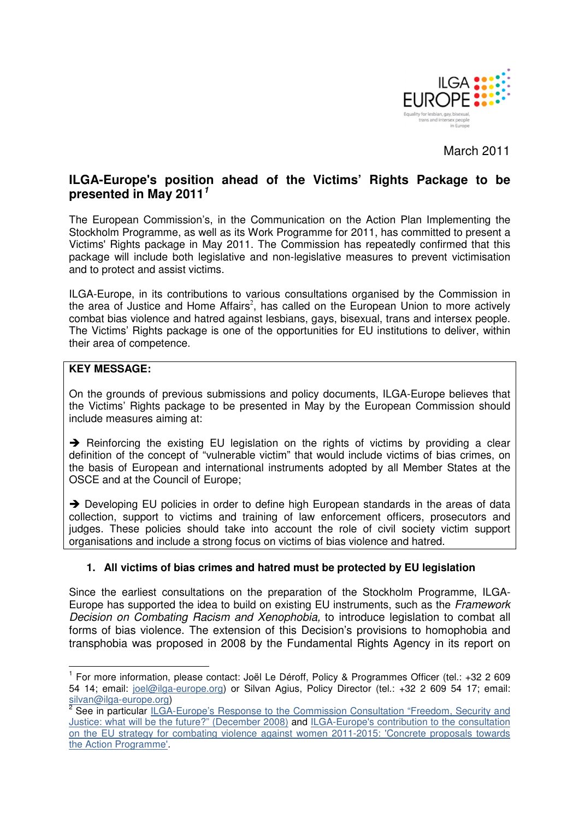

March 2011

# **ILGA-Europe's position ahead of the Victims' Rights Package to be presented in May 2011<sup>1</sup>**

The European Commission's, in the Communication on the Action Plan Implementing the Stockholm Programme, as well as its Work Programme for 2011, has committed to present a Victims' Rights package in May 2011. The Commission has repeatedly confirmed that this package will include both legislative and non-legislative measures to prevent victimisation and to protect and assist victims.

ILGA-Europe, in its contributions to various consultations organised by the Commission in the area of Justice and Home Affairs<sup>2</sup>, has called on the European Union to more actively combat bias violence and hatred against lesbians, gays, bisexual, trans and intersex people. The Victims' Rights package is one of the opportunities for EU institutions to deliver, within their area of competence.

## **KEY MESSAGE:**

 $\overline{a}$ 

On the grounds of previous submissions and policy documents, ILGA-Europe believes that the Victims' Rights package to be presented in May by the European Commission should include measures aiming at:

 $\rightarrow$  Reinforcing the existing EU legislation on the rights of victims by providing a clear definition of the concept of "vulnerable victim" that would include victims of bias crimes, on the basis of European and international instruments adopted by all Member States at the OSCE and at the Council of Europe;

→ Developing EU policies in order to define high European standards in the areas of data collection, support to victims and training of law enforcement officers, prosecutors and judges. These policies should take into account the role of civil society victim support organisations and include a strong focus on victims of bias violence and hatred.

# **1. All victims of bias crimes and hatred must be protected by EU legislation**

Since the earliest consultations on the preparation of the Stockholm Programme, ILGA-Europe has supported the idea to build on existing EU instruments, such as the Framework Decision on Combating Racism and Xenophobia, to introduce legislation to combat all forms of bias violence. The extension of this Decision's provisions to homophobia and transphobia was proposed in 2008 by the Fundamental Rights Agency in its report on

<sup>&</sup>lt;sup>1</sup> For more information, please contact: Joël Le Déroff, Policy & Programmes Officer (tel.: +32 2 609 54 14; email: joel@ilga-europe.org) or Silvan Agius, Policy Director (tel.: +32 2 609 54 17; email:

silvan@ilga-europe.org)<br><sup>2</sup> See in particular <u>ILGA-Europe's Response to the Commission Consultation "Freedom, Security and</u> Justice: what will be the future?" (December 2008) and ILGA-Europe's contribution to the consultation on the EU strategy for combating violence against women 2011-2015: 'Concrete proposals towards the Action Programme'.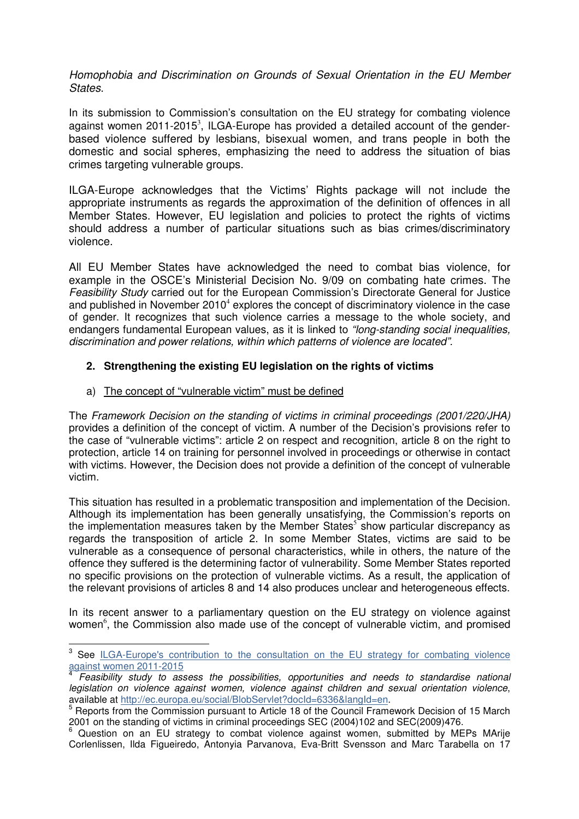Homophobia and Discrimination on Grounds of Sexual Orientation in the EU Member **States** 

In its submission to Commission's consultation on the EU strategy for combating violence against women 2011-2015<sup>3</sup>, ILGA-Europe has provided a detailed account of the genderbased violence suffered by lesbians, bisexual women, and trans people in both the domestic and social spheres, emphasizing the need to address the situation of bias crimes targeting vulnerable groups.

ILGA-Europe acknowledges that the Victims' Rights package will not include the appropriate instruments as regards the approximation of the definition of offences in all Member States. However, EU legislation and policies to protect the rights of victims should address a number of particular situations such as bias crimes/discriminatory violence.

All EU Member States have acknowledged the need to combat bias violence, for example in the OSCE's Ministerial Decision No. 9/09 on combating hate crimes. The Feasibility Study carried out for the European Commission's Directorate General for Justice and published in November 2010<sup>4</sup> explores the concept of discriminatory violence in the case of gender. It recognizes that such violence carries a message to the whole society, and endangers fundamental European values, as it is linked to "long-standing social inequalities, discrimination and power relations, within which patterns of violence are located".

## **2. Strengthening the existing EU legislation on the rights of victims**

## a) The concept of "vulnerable victim" must be defined

l

The Framework Decision on the standing of victims in criminal proceedings (2001/220/JHA) provides a definition of the concept of victim. A number of the Decision's provisions refer to the case of "vulnerable victims": article 2 on respect and recognition, article 8 on the right to protection, article 14 on training for personnel involved in proceedings or otherwise in contact with victims. However, the Decision does not provide a definition of the concept of vulnerable victim.

This situation has resulted in a problematic transposition and implementation of the Decision. Although its implementation has been generally unsatisfying, the Commission's reports on the implementation measures taken by the Member States<sup>5</sup> show particular discrepancy as regards the transposition of article 2. In some Member States, victims are said to be vulnerable as a consequence of personal characteristics, while in others, the nature of the offence they suffered is the determining factor of vulnerability. Some Member States reported no specific provisions on the protection of vulnerable victims. As a result, the application of the relevant provisions of articles 8 and 14 also produces unclear and heterogeneous effects.

In its recent answer to a parliamentary question on the EU strategy on violence against women<sup>6</sup>, the Commission also made use of the concept of vulnerable victim, and promised

<sup>&</sup>lt;sup>3</sup> See ILGA-Europe's contribution to the consultation on the EU strategy for combating violence against women 2011-2015<br><sup>4</sup> Ecceibility atudy to as

Feasibility study to assess the possibilities, opportunities and needs to standardise national legislation on violence against women, violence against children and sexual orientation violence, available at http://ec.europa.eu/social/BlobServlet?docId=6336&langId=en.

<sup>&</sup>lt;sup>5</sup> Reports from the Commission pursuant to Article 18 of the Council Framework Decision of 15 March 2001 on the standing of victims in criminal proceedings SEC (2004)102 and SEC(2009)476.

<sup>6</sup> Question on an EU strategy to combat violence against women, submitted by MEPs MArije Corlenlissen, Ilda Figueiredo, Antonyia Parvanova, Eva-Britt Svensson and Marc Tarabella on 17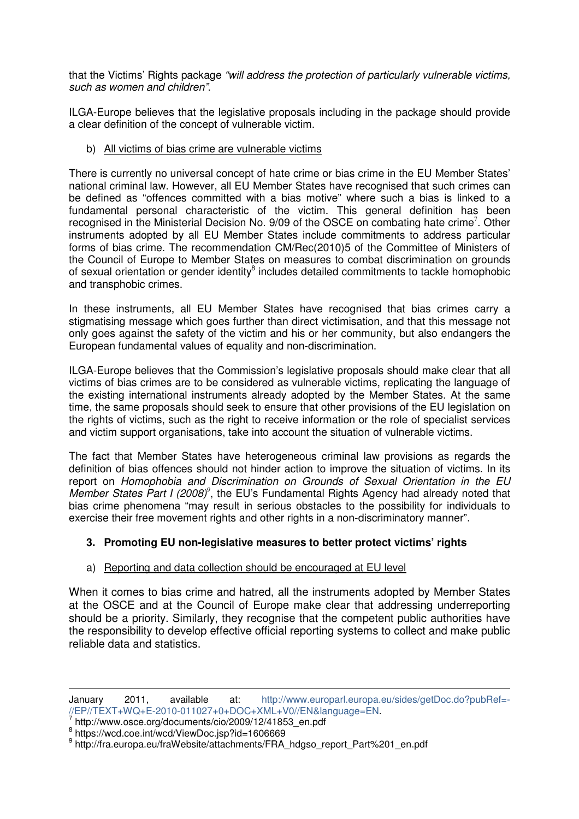that the Victims' Rights package "will address the protection of particularly vulnerable victims, such as women and children".

ILGA-Europe believes that the legislative proposals including in the package should provide a clear definition of the concept of vulnerable victim.

#### b) All victims of bias crime are vulnerable victims

There is currently no universal concept of hate crime or bias crime in the EU Member States' national criminal law. However, all EU Member States have recognised that such crimes can be defined as "offences committed with a bias motive" where such a bias is linked to a fundamental personal characteristic of the victim. This general definition has been recognised in the Ministerial Decision No. 9/09 of the OSCE on combating hate crime<sup>7</sup>. Other instruments adopted by all EU Member States include commitments to address particular forms of bias crime. The recommendation CM/Rec(2010)5 of the Committee of Ministers of the Council of Europe to Member States on measures to combat discrimination on grounds of sexual orientation or gender identity<sup>8</sup> includes detailed commitments to tackle homophobic and transphobic crimes.

In these instruments, all EU Member States have recognised that bias crimes carry a stigmatising message which goes further than direct victimisation, and that this message not only goes against the safety of the victim and his or her community, but also endangers the European fundamental values of equality and non-discrimination.

ILGA-Europe believes that the Commission's legislative proposals should make clear that all victims of bias crimes are to be considered as vulnerable victims, replicating the language of the existing international instruments already adopted by the Member States. At the same time, the same proposals should seek to ensure that other provisions of the EU legislation on the rights of victims, such as the right to receive information or the role of specialist services and victim support organisations, take into account the situation of vulnerable victims.

The fact that Member States have heterogeneous criminal law provisions as regards the definition of bias offences should not hinder action to improve the situation of victims. In its report on Homophobia and Discrimination on Grounds of Sexual Orientation in the EU Member States Part I (2008)<sup>9</sup>, the EU's Fundamental Rights Agency had already noted that bias crime phenomena "may result in serious obstacles to the possibility for individuals to exercise their free movement rights and other rights in a non-discriminatory manner".

# **3. Promoting EU non-legislative measures to better protect victims' rights**

# a) Reporting and data collection should be encouraged at EU level

When it comes to bias crime and hatred, all the instruments adopted by Member States at the OSCE and at the Council of Europe make clear that addressing underreporting should be a priority. Similarly, they recognise that the competent public authorities have the responsibility to develop effective official reporting systems to collect and make public reliable data and statistics.

 $\overline{a}$ 

January 2011, available at: http://www.europarl.europa.eu/sides/getDoc.do?pubRef=- //EP//TEXT+WQ+E-2010-011027+0+DOC+XML+V0//EN&language=EN.

<sup>7</sup> http://www.osce.org/documents/cio/2009/12/41853\_en.pdf

<sup>8</sup> https://wcd.coe.int/wcd/ViewDoc.jsp?id=1606669

<sup>&</sup>lt;sup>9</sup> http://fra.europa.eu/fraWebsite/attachments/FRA\_hdgso\_report\_Part%201\_en.pdf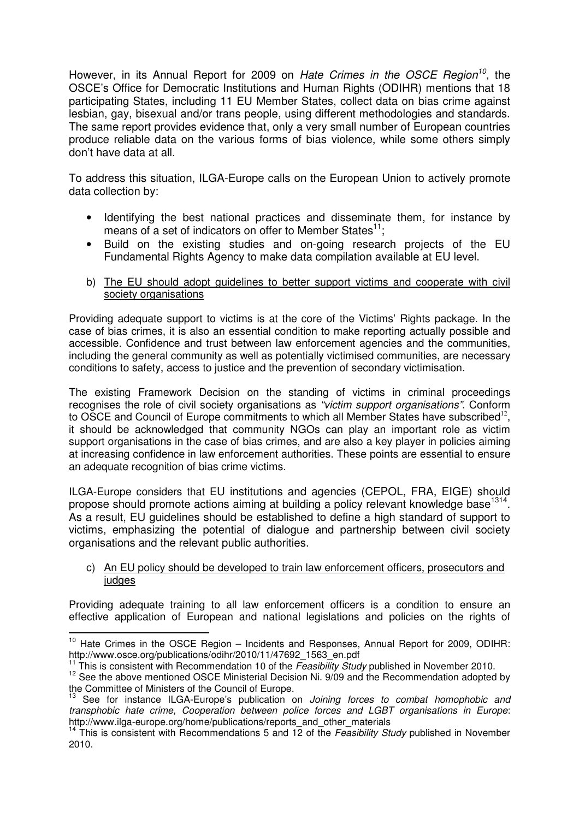However, in its Annual Report for 2009 on Hate Crimes in the OSCE Region<sup>10</sup>, the OSCE's Office for Democratic Institutions and Human Rights (ODIHR) mentions that 18 participating States, including 11 EU Member States, collect data on bias crime against lesbian, gay, bisexual and/or trans people, using different methodologies and standards. The same report provides evidence that, only a very small number of European countries produce reliable data on the various forms of bias violence, while some others simply don't have data at all.

To address this situation, ILGA-Europe calls on the European Union to actively promote data collection by:

- Identifying the best national practices and disseminate them, for instance by means of a set of indicators on offer to Member States $^{11}$ .
- Build on the existing studies and on-going research projects of the EU Fundamental Rights Agency to make data compilation available at EU level.
- b) The EU should adopt guidelines to better support victims and cooperate with civil society organisations

Providing adequate support to victims is at the core of the Victims' Rights package. In the case of bias crimes, it is also an essential condition to make reporting actually possible and accessible. Confidence and trust between law enforcement agencies and the communities, including the general community as well as potentially victimised communities, are necessary conditions to safety, access to justice and the prevention of secondary victimisation.

The existing Framework Decision on the standing of victims in criminal proceedings recognises the role of civil society organisations as "victim support organisations". Conform to OSCE and Council of Europe commitments to which all Member States have subscribed $^{12}$ , it should be acknowledged that community NGOs can play an important role as victim support organisations in the case of bias crimes, and are also a key player in policies aiming at increasing confidence in law enforcement authorities. These points are essential to ensure an adequate recognition of bias crime victims.

ILGA-Europe considers that EU institutions and agencies (CEPOL, FRA, EIGE) should propose should promote actions aiming at building a policy relevant knowledge base<sup>1314</sup>. As a result, EU guidelines should be established to define a high standard of support to victims, emphasizing the potential of dialogue and partnership between civil society organisations and the relevant public authorities.

#### c) An EU policy should be developed to train law enforcement officers, prosecutors and judges

Providing adequate training to all law enforcement officers is a condition to ensure an effective application of European and national legislations and policies on the rights of

 $\overline{a}$ 

 $10$  Hate Crimes in the OSCE Region – Incidents and Responses, Annual Report for 2009, ODIHR: http://www.osce.org/publications/odihr/2010/11/47692\_1563\_en.pdf

This is consistent with Recommendation 10 of the Feasibility Study published in November 2010.

<sup>&</sup>lt;sup>12</sup> See the above mentioned OSCE Ministerial Decision Ni. 9/09 and the Recommendation adopted by the Committee of Ministers of the Council of Europe.

See for instance ILGA-Europe's publication on Joining forces to combat homophobic and transphobic hate crime, Cooperation between police forces and LGBT organisations in Europe: http://www.ilga-europe.org/home/publications/reports\_and\_other\_materials

This is consistent with Recommendations 5 and 12 of the Feasibility Study published in November 2010.